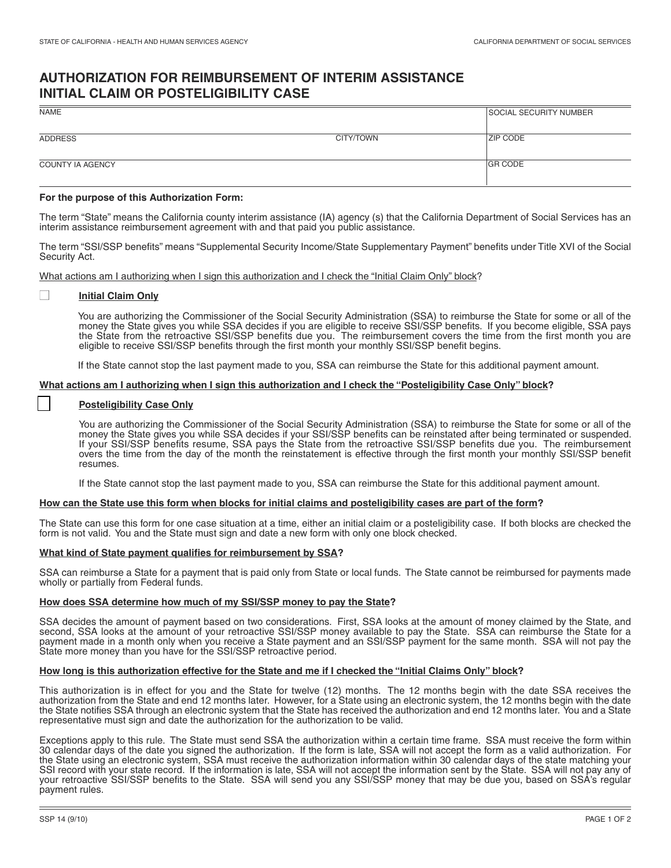# **AUTHORIZATION FOR REIMBURSEMENT OF INTERIM ASSISTANCE INITIAL CLAIM OR POSTELIGIBILITY CASE**

| <b>ZIP CODE</b> |
|-----------------|
| <b>GR CODE</b>  |
|                 |

# **For the purpose of this Authorization Form:**

The term "State" means the California county interim assistance (IA) agency (s) that the California Department of Social Services has an interim assistance reimbursement agreement with and that paid you public assistance.

The term "SSI/SSP benefits" means "Supplemental Security Income/State Supplementary Payment" benefits under Title XVI of the Social Security Act.

What actions am I authorizing when I sign this authorization and I check the "Initial Claim Only" block?

#### ■ **Initial Claim Only**

I You are authorizing the Commissioner of the Social Security Administration (SSA) to reimburse the State for some or all of the money the State gives you while SSA decides if you are eligible to receive SSI/SSP benefits. If you become eligible, SSA pays the State from the retroactive SSI/SSP benefits due you. The reimbursement covers the time from the first month you are eligible to receive SSI/SSP benefits through the first month your monthly SSI/SSP benefit begins.

If the State cannot stop the last payment made to you, SSA can reimburse the State for this additional payment amount.

## **What actions am I authorizing when I sign this authorization and I check the "Posteligibility Case Only" block?**

## **Posteligibility Case Only**

You are authorizing the Commissioner of the Social Security Administration (SSA) to reimburse the State for some or all of the money the State gives you while SSA decides if your SSI/SSP benefits can be reinstated after being terminated or suspended. If your SSI/SSP benefits resume, SSA pays the State from the retroactive SSI/SSP benefits due you. The reimbursement overs the time from the day of the month the reinstatement is effective through the first month your monthly SSI/SSP benefit resumes.

If the State cannot stop the last payment made to you, SSA can reimburse the State for this additional payment amount.

## **How can the State use this form when blocks for initial claims and posteligibility cases are part of the form?**

 form is not valid. You and the State must sign and date a new form with only one block checked. The State can use this form for one case situation at a time, either an initial claim or a posteligibility case. If both blocks are checked the

#### **What kind of State payment qualifies for reimbursement by SSA?**

 SSA can reimburse a State for a payment that is paid only from State or local funds. The State cannot be reimbursed for payments made wholly or partially from Federal funds.

# **How does SSA determine how much of my SSI/SSP money to pay the State?**

SSA decides the amount of payment based on two considerations. First, SSA looks at the amount of money claimed by the State, and second, SSA looks at the amount of your retroactive SSI/SSP money available to pay the State. SSA can reimburse the State for a payment made in a month only when you receive a State payment and an SSI/SSP payment for the same month. SSA will not pay the State more money than you have for the SSI/SSP retroactive period.

## **How long is this authorization effective for the State and me if I checked the "Initial Claims Only" block?**

 This authorization is in effect for you and the State for twelve (12) months. The 12 months begin with the date SSA receives the l, representative must sign and date the authorization for the authorization to be valid. representative must sign and date the authorization for the authorization to be valid.<br>Exceptions apply to this rule. The State must send SSA the authorization within a certain time frame. SSA must receive the form within authorization from the State and end 12 months later. However, for a State using an electronic system, the 12 months begin with the date the State notifies SSA through an electronic system that the State has received the authorization and end 12 months later. You and a State

30 calendar days of the date you signed the authorization. If the form is late, SSA will not accept the form as a valid authorization. For the State using an electronic system, SSA must receive the authorization information within 30 calendar days of the state matching your SSI record with your state record. If the information is late, SSA will not accept the information sent by the State. SSA will not pay any of your retroactive SSI/SSP benefits to the State. SSA will send you any SSI/SSP money that may be due you, based on SSA's regular payment rules.